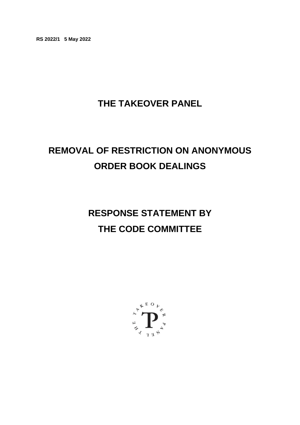**RS 2022/1 5 May 2022**

# **THE TAKEOVER PANEL**

# **REMOVAL OF RESTRICTION ON ANONYMOUS ORDER BOOK DEALINGS**

# **RESPONSE STATEMENT BY THE CODE COMMITTEE**

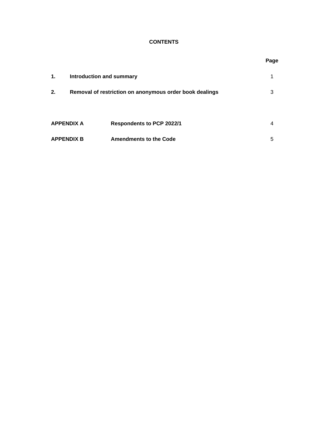# **CONTENTS**

|                   |                                 |                                                         | ~ |
|-------------------|---------------------------------|---------------------------------------------------------|---|
| 1.                | <b>Introduction and summary</b> |                                                         | 1 |
| 2.                |                                 | Removal of restriction on anonymous order book dealings | 3 |
| <b>APPENDIX A</b> |                                 | <b>Respondents to PCP 2022/1</b>                        | 4 |
| <b>APPENDIX B</b> |                                 | <b>Amendments to the Code</b>                           | 5 |

#### **Page**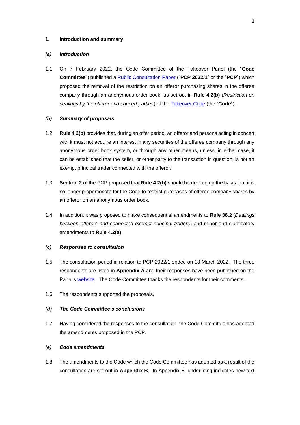#### **1. Introduction and summary**

#### *(a) Introduction*

1.1 On 7 February 2022, the Code Committee of the Takeover Panel (the "**Code Committee**") published a [Public Consultation Paper](https://www.thetakeoverpanel.org.uk/wp-content/uploads/2022/02/PCP-2022-1-Removal-of-restriction-on-anonymous-order-book-dealings.pdf) ("**PCP 2022/1**" or the "**PCP**") which proposed the removal of the restriction on an offeror purchasing shares in the offeree company through an anonymous order book, as set out in **Rule 4.2(b)** (*Restriction on dealings by the offeror and concert parties*) of the [Takeover Code](https://www.thetakeoverpanel.org.uk/the-code/download-code) (the "**Code**").

#### *(b) Summary of proposals*

- 1.2 **Rule 4.2(b)** provides that, during an offer period, an offeror and persons acting in concert with it must not acquire an interest in any securities of the offeree company through any anonymous order book system, or through any other means, unless, in either case, it can be established that the seller, or other party to the transaction in question, is not an exempt principal trader connected with the offeror.
- 1.3 **Section 2** of the PCP proposed that **Rule 4.2(b)** should be deleted on the basis that it is no longer proportionate for the Code to restrict purchases of offeree company shares by an offeror on an anonymous order book.
- 1.4 In addition, it was proposed to make consequential amendments to **Rule 38.2** (*Dealings between offerors and connected exempt principal traders*) and minor and clarificatory amendments to **Rule 4.2(a)**.

#### *(c) Responses to consultation*

- 1.5 The consultation period in relation to PCP 2022/1 ended on 18 March 2022. The three respondents are listed in **Appendix A** and their responses have been published on the Panel's [website.](https://www.thetakeoverpanel.org.uk/consultation) The Code Committee thanks the respondents for their comments.
- 1.6 The respondents supported the proposals.

#### *(d) The Code Committee's conclusions*

1.7 Having considered the responses to the consultation, the Code Committee has adopted the amendments proposed in the PCP.

#### *(e) Code amendments*

1.8 The amendments to the Code which the Code Committee has adopted as a result of the consultation are set out in **Appendix B**. In Appendix B, underlining indicates new text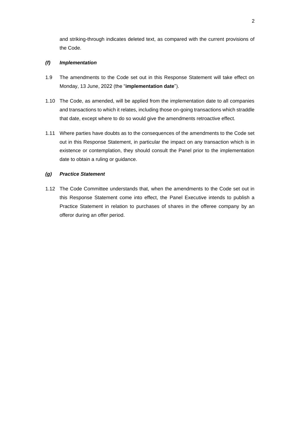and striking-through indicates deleted text, as compared with the current provisions of the Code.

#### *(f) Implementation*

- 1.9 The amendments to the Code set out in this Response Statement will take effect on Monday, 13 June, 2022 (the "**implementation date**").
- 1.10 The Code, as amended, will be applied from the implementation date to all companies and transactions to which it relates, including those on-going transactions which straddle that date, except where to do so would give the amendments retroactive effect.
- 1.11 Where parties have doubts as to the consequences of the amendments to the Code set out in this Response Statement, in particular the impact on any transaction which is in existence or contemplation, they should consult the Panel prior to the implementation date to obtain a ruling or guidance.

### *(g) Practice Statement*

1.12 The Code Committee understands that, when the amendments to the Code set out in this Response Statement come into effect, the Panel Executive intends to publish a Practice Statement in relation to purchases of shares in the offeree company by an offeror during an offer period.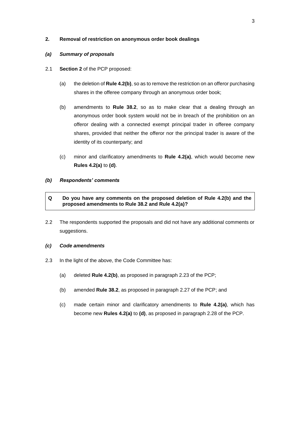#### **2. Removal of restriction on anonymous order book dealings**

#### *(a) Summary of proposals*

- 2.1 **Section 2** of the PCP proposed:
	- (a) the deletion of **Rule 4.2(b)**, so as to remove the restriction on an offeror purchasing shares in the offeree company through an anonymous order book;
	- (b) amendments to **Rule 38.2**, so as to make clear that a dealing through an anonymous order book system would not be in breach of the prohibition on an offeror dealing with a connected exempt principal trader in offeree company shares, provided that neither the offeror nor the principal trader is aware of the identity of its counterparty; and
	- (c) minor and clarificatory amendments to **Rule 4.2(a)**, which would become new **Rules 4.2(a)** to **(d)**.

#### *(b) Respondents' comments*

### **Q Do you have any comments on the proposed deletion of Rule 4.2(b) and the proposed amendments to Rule 38.2 and Rule 4.2(a)?**

2.2 The respondents supported the proposals and did not have any additional comments or suggestions.

#### *(c) Code amendments*

- 2.3 In the light of the above, the Code Committee has:
	- (a) deleted **Rule 4.2(b)**, as proposed in paragraph 2.23 of the PCP;
	- (b) amended **Rule 38.2**, as proposed in paragraph 2.27 of the PCP; and
	- (c) made certain minor and clarificatory amendments to **Rule 4.2(a)**, which has become new **Rules 4.2(a)** to **(d)**, as proposed in paragraph 2.28 of the PCP.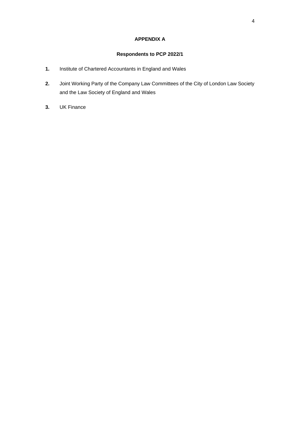# **APPENDIX A**

# **Respondents to PCP 2022/1**

- **1.** Institute of Chartered Accountants in England and Wales
- **2.** Joint Working Party of the Company Law Committees of the City of London Law Society and the Law Society of England and Wales
- **3.** UK Finance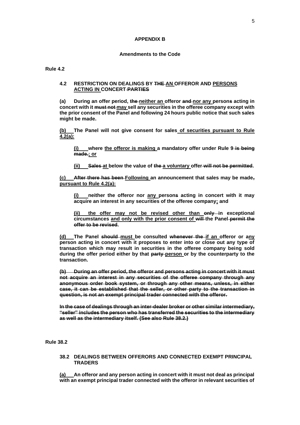#### **APPENDIX B**

#### **Amendments to the Code**

#### **Rule 4.2**

#### **4.2 RESTRICTION ON DEALINGS BY THE AN OFFEROR AND PERSONS ACTING IN CONCERT PARTIES**

**(a) During an offer period, the neither an offeror and nor any persons acting in concert with it must not may sell any securities in the offeree company except with the prior consent of the Panel and following 24 hours public notice that such sales might be made.**

**(b) The Panel will not give consent for sales of securities pursuant to Rule 4.2(a):**

**(i) where the offeror is making a mandatory offer under Rule 9 is being made.; or**

**(ii) Sales at below the value of the a voluntary offer will not be permitted.**

**(c) After there has been Following an announcement that sales may be made, pursuant to Rule 4.2(a):**

**(i) neither the offeror nor any persons acting in concert with it may acquire an interest in any securities of the offeree company; and** 

the offer may not be revised other than only in exceptional **circumstances and only with the prior consent of will the Panel permit the offer to be revised.**

**(d) The Panel should must be consulted whenever the if an offeror or any person acting in concert with it proposes to enter into or close out any type of transaction which may result in securities in the offeree company being sold during the offer period either by that party person or by the counterparty to the transaction.**

**(b) During an offer period, the offeror and persons acting in concert with it must not acquire an interest in any securities of the offeree company through any anonymous order book system, or through any other means, unless, in either case, it can be established that the seller, or other party to the transaction in question, is not an exempt principal trader connected with the offeror.**

**In the case of dealings through an inter-dealer broker or other similar intermediary, "seller" includes the person who has transferred the securities to the intermediary as well as the intermediary itself. (See also Rule 38.2.)**

**Rule 38.2**

#### **38.2 DEALINGS BETWEEN OFFERORS AND CONNECTED EXEMPT PRINCIPAL TRADERS**

**(a) An offeror and any person acting in concert with it must not deal as principal with an exempt principal trader connected with the offeror in relevant securities of**